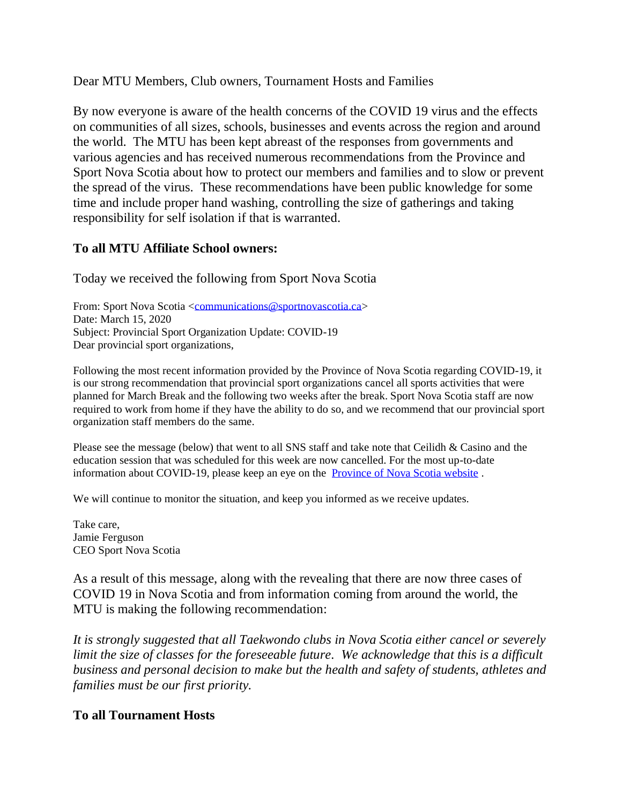Dear MTU Members, Club owners, Tournament Hosts and Families

By now everyone is aware of the health concerns of the COVID 19 virus and the effects on communities of all sizes, schools, businesses and events across the region and around the world. The MTU has been kept abreast of the responses from governments and various agencies and has received numerous recommendations from the Province and Sport Nova Scotia about how to protect our members and families and to slow or prevent the spread of the virus. These recommendations have been public knowledge for some time and include proper hand washing, controlling the size of gatherings and taking responsibility for self isolation if that is warranted.

## **To all MTU Affiliate School owners:**

Today we received the following from Sport Nova Scotia

From: Sport Nova Scotia [<communications@sportnovascotia.ca>](mailto:communications@sportnovascotia.ca) Date: March 15, 2020 Subject: Provincial Sport Organization Update: COVID-19 Dear provincial sport organizations,

Following the most recent information provided by the Province of Nova Scotia regarding COVID-19, it is our strong recommendation that provincial sport organizations cancel all sports activities that were planned for March Break and the following two weeks after the break. Sport Nova Scotia staff are now required to work from home if they have the ability to do so, and we recommend that our provincial sport organization staff members do the same.

Please see the message (below) that went to all SNS staff and take note that Ceilidh  $\&$  Casino and the education session that was scheduled for this week are now cancelled. For the most up-to-date information about COVID-19, please keep an eye on the [Province of Nova Scotia website](https://novascotia.ca/coronavirus/#alerts) .

We will continue to monitor the situation, and keep you informed as we receive updates.

Take care, Jamie Ferguson CEO Sport Nova Scotia

As a result of this message, along with the revealing that there are now three cases of COVID 19 in Nova Scotia and from information coming from around the world, the MTU is making the following recommendation:

*It is strongly suggested that all Taekwondo clubs in Nova Scotia either cancel or severely limit the size of classes for the foreseeable future. We acknowledge that this is a difficult business and personal decision to make but the health and safety of students, athletes and families must be our first priority.*

## **To all Tournament Hosts**